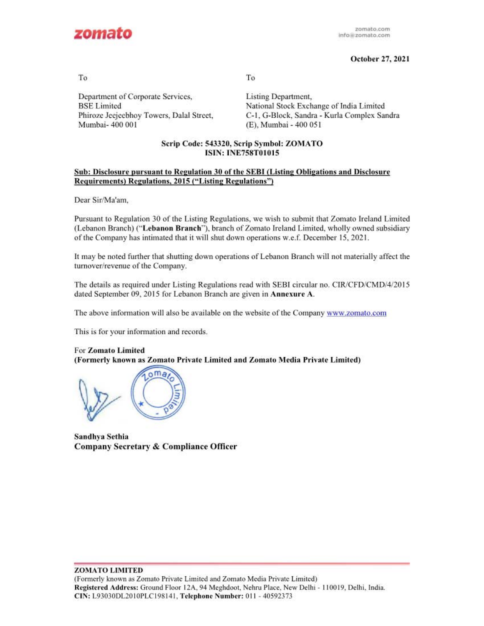

# **October 27, 2021**

To

To

Department of Corporate Services, BSE Limited Phiroze Jeejeebhoy Towers, Dalal Street, Mumbai- 400 001

Listing Department, National Stock Exchange of India Limited C-1, G-Block, Sandra - Kurla Complex Sandra (E), Mumbai - 400 051

## Scrip Code: 543320, Scrip Symbol: **ZOMATO ISIN: INE758T01015**

## Sub: Disclosure pursuant to Regulation 30 of the SEBI (Listing Obligations and Disclosure Requirements) Regulations, 2015 ("Listing Regulations")

**Dear Sir/Ma'am,** 

Pursuant to Regulation 30 of the Listing Regulations, we wish to submit that Zomato Ireland Limited (Lebanon Branch) ("Lebanon Branch"), branch of Zomato Ireland Limited, wholly owned subsidiary of the Company has intimated that it will shut down operations w.e.f. December 15, 2021.

It may be noted further that shutting down operations of Lebanon Branch will not materially affect the turnover/revenue of the Company.

The details as required under Listing Regulations read with SEBI circular no. CIR/CFD/CMD/4/2015 dated September 09, 2015 for Lebanon Branch are given in **Annexure A.** 

The above information will also be available on the website of the Company www.zomato.com

This is for your information and records.

### For **Zomato Limited**

**(Formerly known as Zomato Private Limited** and **Zomato Media Pri\'ate Limited)** 



**Sandh)•a Sethia Company Secretary** & **Compliance Officer**